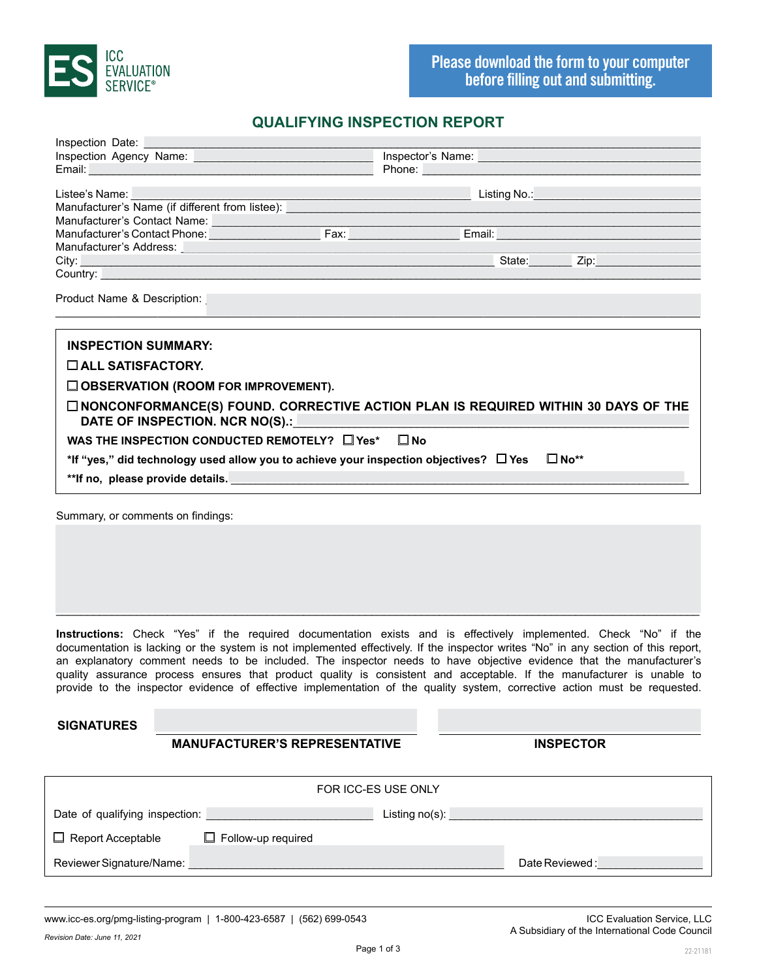

## **QUALIFYING INSPECTION REPORT**

| Inspection Date: <u>contract and the contract of the contract of the contract of the contract of the contract of the contract of the contract of the contract of the contract of the contract of the contract of the contract of</u> |                                                                                                                                                                                                                                      |  |  |
|--------------------------------------------------------------------------------------------------------------------------------------------------------------------------------------------------------------------------------------|--------------------------------------------------------------------------------------------------------------------------------------------------------------------------------------------------------------------------------------|--|--|
| Inspection Agency Name: <b>Fig. 1.1 Access 2018</b>                                                                                                                                                                                  | Inspector's Name:                                                                                                                                                                                                                    |  |  |
| Email: <u>Alexander Alexander Alexander Alexander Alexander Alexander Alexander Alexander Alexander Alexander Alex</u>                                                                                                               |                                                                                                                                                                                                                                      |  |  |
|                                                                                                                                                                                                                                      |                                                                                                                                                                                                                                      |  |  |
|                                                                                                                                                                                                                                      | Listee's Name: <u>New York: Name: New York: Name: New York: Name: New York: Name: New York: Name: New York: Name: New York: Name: New York: Name: New York: Name: New York: Name: New York: Name: New York: Name: New York: Name</u> |  |  |
|                                                                                                                                                                                                                                      |                                                                                                                                                                                                                                      |  |  |
|                                                                                                                                                                                                                                      |                                                                                                                                                                                                                                      |  |  |
|                                                                                                                                                                                                                                      |                                                                                                                                                                                                                                      |  |  |
|                                                                                                                                                                                                                                      |                                                                                                                                                                                                                                      |  |  |
|                                                                                                                                                                                                                                      | Manufacturer's Address: <u>with a series of the series of the series of the series of the series of the series of the series of the series of the series of the series of the series of the series of the series of the series o</u> |  |  |
| Country: New York Country: New York Country: New York Country: New York Country: New York Country: New York Country: New York Country: New York Country: New York Country: New York Country: New York Country: New York Countr       |                                                                                                                                                                                                                                      |  |  |
| Product Name & Description:                                                                                                                                                                                                          |                                                                                                                                                                                                                                      |  |  |
| <b>INSPECTION SUMMARY:</b>                                                                                                                                                                                                           |                                                                                                                                                                                                                                      |  |  |
| $\square$ ALL SATISFACTORY.                                                                                                                                                                                                          |                                                                                                                                                                                                                                      |  |  |
| $\square$ OBSERVATION (ROOM FOR IMPROVEMENT).                                                                                                                                                                                        |                                                                                                                                                                                                                                      |  |  |
| DATE OF INSPECTION. NCR NO(S).: NAMEL SERVICES                                                                                                                                                                                       | $\square$ NONCONFORMANCE(S) FOUND. CORRECTIVE ACTION PLAN IS REQUIRED WITHIN 30 DAYS OF THE                                                                                                                                          |  |  |
| WAS THE INSPECTION CONDUCTED REMOTELY? $\square$ Yes* $\square$ No                                                                                                                                                                   |                                                                                                                                                                                                                                      |  |  |

\*\*If no, please provide details.

\*If "yes," did technology used allow you to achieve your inspection objectives?  $\Box$  Yes  $\Box$  No\*\*

Summary, or comments on findings:

**Instructions:** Check "Yes" if the required documentation exists and is effectively implemented. Check "No" if the documentation is lacking or the system is not implemented effectively. If the inspector writes "No" in any section of this report, an explanatory comment needs to be included. The inspector needs to have objective evidence that the manufacturer's quality assurance process ensures that product quality is consistent and acceptable. If the manufacturer is unable to provide to the inspector evidence of effective implementation of the quality system, corrective action must be requested.

\_\_\_\_\_\_\_\_\_\_\_\_\_\_\_\_\_\_\_\_\_\_\_\_\_\_\_\_\_\_\_\_\_\_\_\_\_\_\_\_\_\_\_\_\_\_\_\_\_\_\_\_\_\_\_\_\_\_\_\_\_\_\_\_\_\_\_\_\_\_\_\_\_\_\_\_\_\_\_\_\_\_\_\_\_\_\_\_\_\_\_\_\_\_\_\_\_\_\_\_\_\_\_\_

**SIGNATURES**

## **MANUFACTURER'S REPRESENTATIVE INSPECTOR**

| FOR ICC-ES USE ONLY            |                           |                   |                |
|--------------------------------|---------------------------|-------------------|----------------|
| Date of qualifying inspection: |                           | Listing $no(s)$ : |                |
| $\Box$ Report Acceptable       | $\Box$ Follow-up required |                   |                |
| Reviewer Signature/Name:       |                           |                   | Date Reviewed: |

www.icc-es.org/pmg-listing-program | 1-800-423-6587 | (562) 699-0543 ICC Evaluation Service, LLC

*Revision Date: June 11, 2021*

A Subsidiary of the International Code Council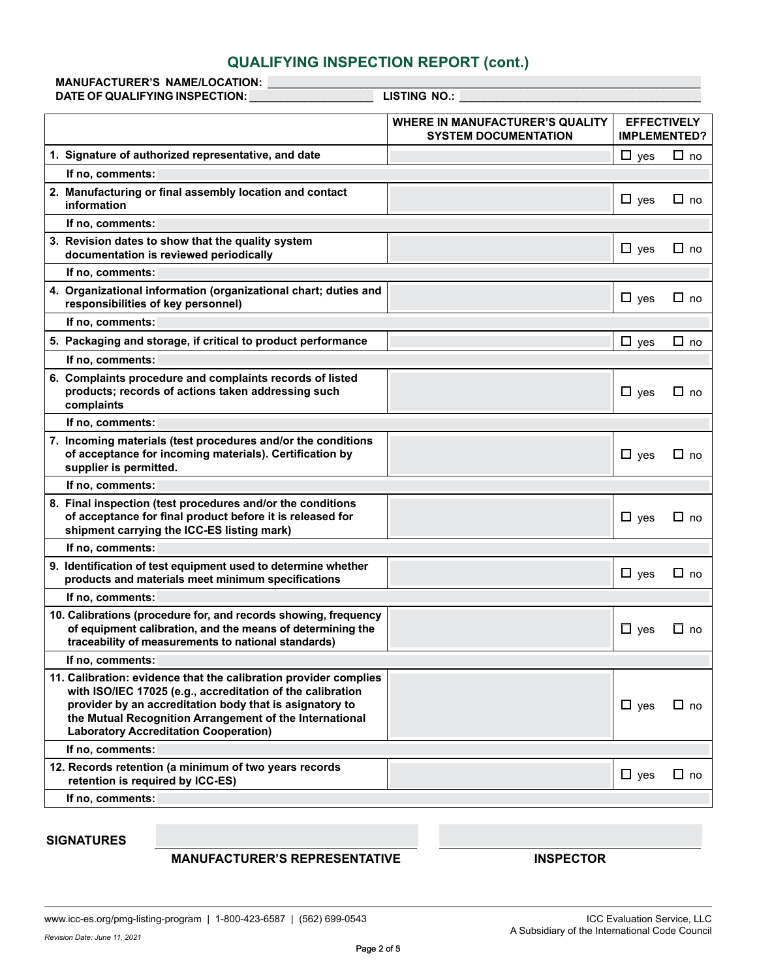| <b>QUALIFYING INSPECTION REPORT (cont.)</b>                                                                                                                                                                                                                                                          |                                                                       |                                           |              |
|------------------------------------------------------------------------------------------------------------------------------------------------------------------------------------------------------------------------------------------------------------------------------------------------------|-----------------------------------------------------------------------|-------------------------------------------|--------------|
| <b>MANUFACTURER'S NAME/LOCATION:</b><br>DATE OF QUALIFYING INSPECTION:                                                                                                                                                                                                                               | LISTING NO.:                                                          |                                           |              |
|                                                                                                                                                                                                                                                                                                      |                                                                       |                                           |              |
|                                                                                                                                                                                                                                                                                                      | <b>WHERE IN MANUFACTURER'S QUALITY</b><br><b>SYSTEM DOCUMENTATION</b> | <b>EFFECTIVELY</b><br><b>IMPLEMENTED?</b> |              |
| 1. Signature of authorized representative, and date                                                                                                                                                                                                                                                  |                                                                       | $\Box$ yes                                | $\Box$ no    |
| If no, comments:                                                                                                                                                                                                                                                                                     |                                                                       |                                           |              |
| 2. Manufacturing or final assembly location and contact                                                                                                                                                                                                                                              |                                                                       | $\Box$ yes                                | $\square$ no |
| information                                                                                                                                                                                                                                                                                          |                                                                       |                                           |              |
| If no, comments:                                                                                                                                                                                                                                                                                     |                                                                       |                                           |              |
| 3. Revision dates to show that the quality system<br>documentation is reviewed periodically                                                                                                                                                                                                          |                                                                       | $\Box$ yes                                | $\Box$ no    |
| If no, comments:                                                                                                                                                                                                                                                                                     |                                                                       |                                           |              |
| 4. Organizational information (organizational chart; duties and<br>responsibilities of key personnel)                                                                                                                                                                                                |                                                                       | $\Box$ yes                                | $\square$ no |
| If no, comments:                                                                                                                                                                                                                                                                                     |                                                                       |                                           |              |
| 5. Packaging and storage, if critical to product performance                                                                                                                                                                                                                                         |                                                                       | $\Box$ yes                                | $\Box$ no    |
| If no, comments:                                                                                                                                                                                                                                                                                     |                                                                       |                                           |              |
| 6. Complaints procedure and complaints records of listed<br>products; records of actions taken addressing such<br>complaints                                                                                                                                                                         |                                                                       | $\Box$ yes                                | $\Box$ no    |
| If no, comments:                                                                                                                                                                                                                                                                                     |                                                                       |                                           |              |
| 7. Incoming materials (test procedures and/or the conditions<br>of acceptance for incoming materials). Certification by<br>supplier is permitted.                                                                                                                                                    |                                                                       | $\Box$ yes                                | $\Box$ no    |
| If no, comments:                                                                                                                                                                                                                                                                                     |                                                                       |                                           |              |
| 8. Final inspection (test procedures and/or the conditions<br>of acceptance for final product before it is released for<br>shipment carrying the ICC-ES listing mark)                                                                                                                                |                                                                       | $\Box$ yes                                | $\square$ no |
| If no, comments:                                                                                                                                                                                                                                                                                     |                                                                       |                                           |              |
| 9. Identification of test equipment used to determine whether<br>products and materials meet minimum specifications                                                                                                                                                                                  |                                                                       | $\Box$ yes                                | $\Box$ no    |
| If no, comments:                                                                                                                                                                                                                                                                                     |                                                                       |                                           |              |
| 10. Calibrations (procedure for, and records showing, frequency<br>of equipment calibration, and the means of determining the<br>traceability of measurements to national standards)                                                                                                                 |                                                                       | $\Box$ yes                                | $\Box$ no    |
| If no, comments:                                                                                                                                                                                                                                                                                     |                                                                       |                                           |              |
| 11. Calibration: evidence that the calibration provider complies<br>with ISO/IEC 17025 (e.g., accreditation of the calibration<br>provider by an accreditation body that is asignatory to<br>the Mutual Recognition Arrangement of the International<br><b>Laboratory Accreditation Cooperation)</b> |                                                                       | $\Box$ yes                                | $\Box$ no    |
| If no, comments:                                                                                                                                                                                                                                                                                     |                                                                       |                                           |              |
| 12. Records retention (a minimum of two years records<br>retention is required by ICC-ES)                                                                                                                                                                                                            |                                                                       | $\Box$ yes                                | $\square$ no |
| If no, comments:                                                                                                                                                                                                                                                                                     |                                                                       |                                           |              |
| <b>SIGNATURES</b>                                                                                                                                                                                                                                                                                    |                                                                       |                                           |              |
| <b>MANUFACTURER'S REPRESENTATIVE</b>                                                                                                                                                                                                                                                                 | <b>INSPECTOR</b>                                                      |                                           |              |
| www.icc-es.org/pmg-listing-program   1-800-423-6587   (562) 699-0543<br>Revision Date: June 11, 2021                                                                                                                                                                                                 | A Subsidiary of the International Code Council                        | ICC Evaluation Service, LLC               |              |
| Page 2 of 5                                                                                                                                                                                                                                                                                          |                                                                       |                                           |              |

### **MANUFACTURER'S REPRESENTATIVE INSPECTOR**